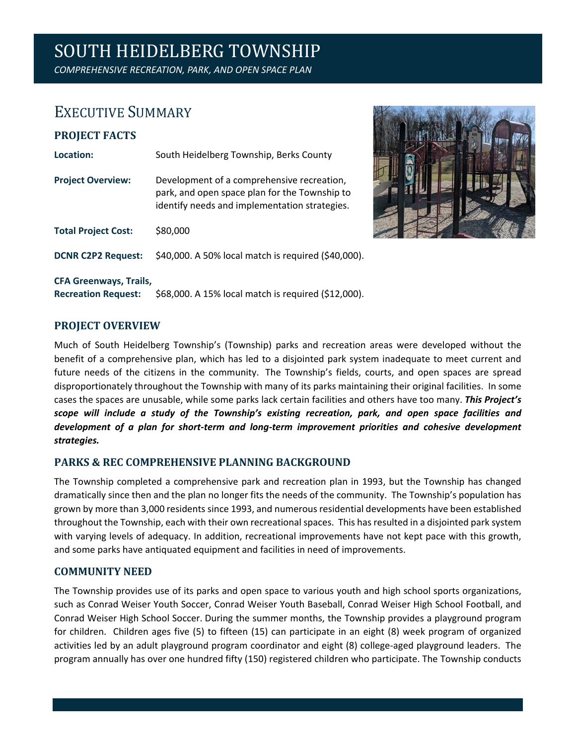# SOUTH HEIDELBERG TOWNSHIP

*COMPREHENSIVE RECREATION, PARK, AND OPEN SPACE PLAN*

### EXECUTIVE SUMMARY

## **PROJECT FACTS** Location: South Heidelberg Township, Berks County **Project Overview:** Development of a comprehensive recreation, park, and open space plan for the Township to identify needs and implementation strategies. **Total Project Cost:** \$80,000 **DCNR C2P2 Request:** \$40,000. A 50% local match is required (\$40,000). **CFA Greenways, Trails,**



**Recreation Request:** \$68,000. A 15% local match is required (\$12,000).

#### **PROJECT OVERVIEW**

Much of South Heidelberg Township's (Township) parks and recreation areas were developed without the benefit of a comprehensive plan, which has led to a disjointed park system inadequate to meet current and future needs of the citizens in the community. The Township's fields, courts, and open spaces are spread disproportionately throughout the Township with many of its parks maintaining their original facilities. In some cases the spaces are unusable, while some parks lack certain facilities and others have too many. *This Project's scope will include a study of the Township's existing recreation, park, and open space facilities and development of a plan for short-term and long-term improvement priorities and cohesive development strategies.*

#### **PARKS & REC COMPREHENSIVE PLANNING BACKGROUND**

The Township completed a comprehensive park and recreation plan in 1993, but the Township has changed dramatically since then and the plan no longer fits the needs of the community. The Township's population has grown by more than 3,000 residents since 1993, and numerous residential developments have been established throughout the Township, each with their own recreational spaces. This has resulted in a disjointed park system with varying levels of adequacy. In addition, recreational improvements have not kept pace with this growth, and some parks have antiquated equipment and facilities in need of improvements.

#### **COMMUNITY NEED**

The Township provides use of its parks and open space to various youth and high school sports organizations, such as Conrad Weiser Youth Soccer, Conrad Weiser Youth Baseball, Conrad Weiser High School Football, and Conrad Weiser High School Soccer. During the summer months, the Township provides a playground program for children. Children ages five (5) to fifteen (15) can participate in an eight (8) week program of organized activities led by an adult playground program coordinator and eight (8) college-aged playground leaders. The program annually has over one hundred fifty (150) registered children who participate. The Township conducts